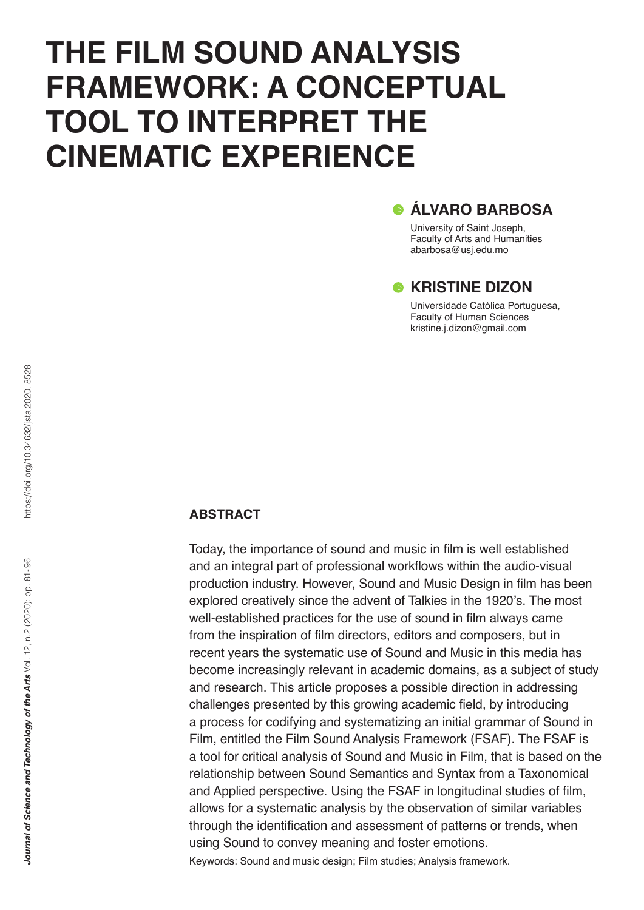# **THE FILM SOUND ANALYSIS FRAMEWORK: A CONCEPTUAL TOOL TO INTERPRET THE CINEMATIC EXPERIENCE**

# **ÁLVARO BARBOSA**

University of Saint Joseph, Faculty of Arts and Humanities abarbosa@usj.edu.mo

# **CKRISTINE DIZON**

Universidade Católica Portuguesa, Faculty of Human Sciences kristine.j.dizon@gmail.com

# **ABSTRACT**

Today, the importance of sound and music in film is well established and an integral part of professional workflows within the audio-visual production industry. However, Sound and Music Design in film has been explored creatively since the advent of Talkies in the 1920's. The most well-established practices for the use of sound in film always came from the inspiration of film directors, editors and composers, but in recent years the systematic use of Sound and Music in this media has become increasingly relevant in academic domains, as a subject of study and research. This article proposes a possible direction in addressing challenges presented by this growing academic field, by introducing a process for codifying and systematizing an initial grammar of Sound in Film, entitled the Film Sound Analysis Framework (FSAF). The FSAF is a tool for critical analysis of Sound and Music in Film, that is based on the relationship between Sound Semantics and Syntax from a Taxonomical and Applied perspective. Using the FSAF in longitudinal studies of film, allows for a systematic analysis by the observation of similar variables through the identification and assessment of patterns or trends, when using Sound to convey meaning and foster emotions. Keywords: Sound and music design; Film studies; Analysis framework.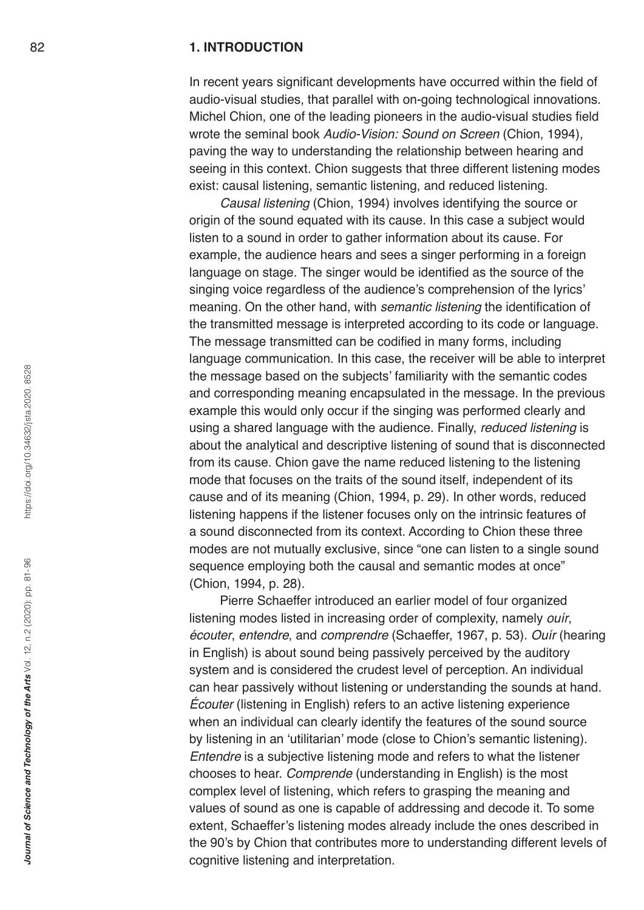#### **1. INTRODUCTION**

In recent years significant developments have occurred within the field of audio-visual studies, that parallel with on-going technological innovations. Michel Chion, one of the leading pioneers in the audio-visual studies field wrote the seminal book *Audio-Vision: Sound on Screen* (Chion, 1994), paving the way to understanding the relationship between hearing and seeing in this context. Chion suggests that three different listening modes exist: causal listening, semantic listening, and reduced listening.

*Causal listening* (Chion, 1994) involves identifying the source or origin of the sound equated with its cause. In this case a subject would listen to a sound in order to gather information about its cause. For example, the audience hears and sees a singer performing in a foreign language on stage. The singer would be identified as the source of the singing voice regardless of the audience's comprehension of the lyrics' meaning. On the other hand, with *semantic listening* the identification of the transmitted message is interpreted according to its code or language. The message transmitted can be codified in many forms, including language communication. In this case, the receiver will be able to interpret the message based on the subjects' familiarity with the semantic codes and corresponding meaning encapsulated in the message. In the previous example this would only occur if the singing was performed clearly and using a shared language with the audience. Finally, *reduced listening* is about the analytical and descriptive listening of sound that is disconnected from its cause. Chion gave the name reduced listening to the listening mode that focuses on the traits of the sound itself, independent of its cause and of its meaning (Chion, 1994, p. 29). In other words, reduced listening happens if the listener focuses only on the intrinsic features of a sound disconnected from its context. According to Chion these three modes are not mutually exclusive, since "one can listen to a single sound sequence employing both the causal and semantic modes at once" (Chion, 1994, p. 28).

Pierre Schaeffer introduced an earlier model of four organized listening modes listed in increasing order of complexity, namely *ouír*, *écouter*, *entendre*, and *comprendre* (Schaeffer, 1967, p. 53). *Ouír* (hearing in English) is about sound being passively perceived by the auditory system and is considered the crudest level of perception. An individual can hear passively without listening or understanding the sounds at hand. *Écouter* (listening in English) refers to an active listening experience when an individual can clearly identify the features of the sound source by listening in an 'utilitarian' mode (close to Chion's semantic listening). *Entendre* is a subjective listening mode and refers to what the listener chooses to hear. *Comprende* (understanding in English) is the most complex level of listening, which refers to grasping the meaning and values of sound as one is capable of addressing and decode it. To some extent, Schaeffer's listening modes already include the ones described in the 90's by Chion that contributes more to understanding different levels of cognitive listening and interpretation.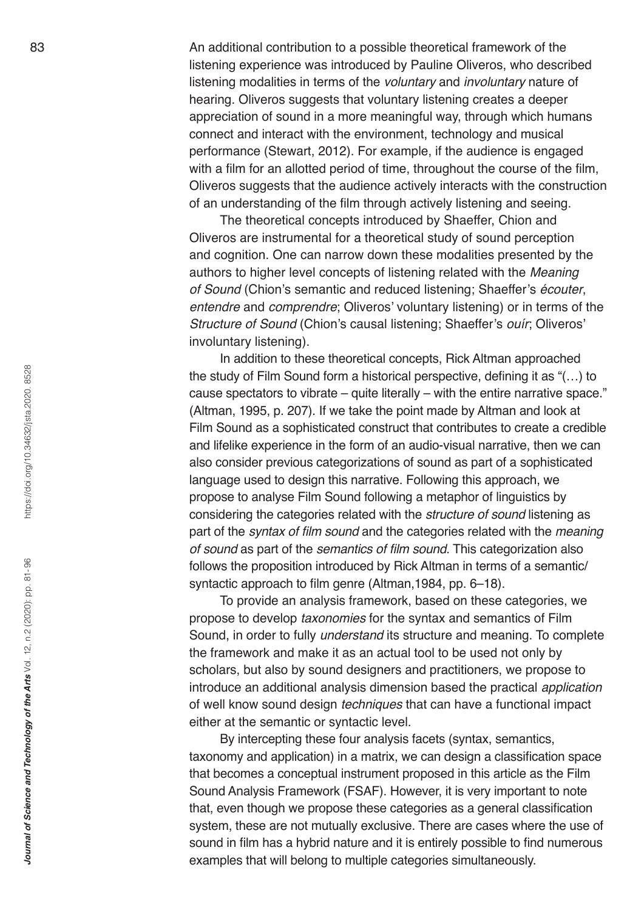An additional contribution to a possible theoretical framework of the listening experience was introduced by Pauline Oliveros, who described listening modalities in terms of the *voluntary* and *involuntary* nature of hearing. Oliveros suggests that voluntary listening creates a deeper appreciation of sound in a more meaningful way, through which humans connect and interact with the environment, technology and musical performance (Stewart, 2012). For example, if the audience is engaged with a film for an allotted period of time, throughout the course of the film, Oliveros suggests that the audience actively interacts with the construction of an understanding of the film through actively listening and seeing.

The theoretical concepts introduced by Shaeffer, Chion and Oliveros are instrumental for a theoretical study of sound perception and cognition. One can narrow down these modalities presented by the authors to higher level concepts of listening related with the *Meaning of Sound* (Chion's semantic and reduced listening; Shaeffer's *écouter*, *entendre* and *comprendre*; Oliveros' voluntary listening) or in terms of the *Structure of Sound* (Chion's causal listening; Shaeffer's *ouír*; Oliveros' involuntary listening).

In addition to these theoretical concepts, Rick Altman approached the study of Film Sound form a historical perspective, defining it as "(…) to cause spectators to vibrate – quite literally – with the entire narrative space." (Altman, 1995, p. 207). If we take the point made by Altman and look at Film Sound as a sophisticated construct that contributes to create a credible and lifelike experience in the form of an audio-visual narrative, then we can also consider previous categorizations of sound as part of a sophisticated language used to design this narrative. Following this approach, we propose to analyse Film Sound following a metaphor of linguistics by considering the categories related with the *structure of sound* listening as part of the syntax of film sound and the categories related with the *meaning of sound* as part of the semantics of film sound. This categorization also follows the proposition introduced by Rick Altman in terms of a semantic/ syntactic approach to film genre (Altman,1984, pp. 6–18).

To provide an analysis framework, based on these categories, we propose to develop *taxonomies* for the syntax and semantics of Film Sound, in order to fully *understand* its structure and meaning. To complete the framework and make it as an actual tool to be used not only by scholars, but also by sound designers and practitioners, we propose to introduce an additional analysis dimension based the practical *application*  of well know sound design *techniques* that can have a functional impact either at the semantic or syntactic level.

By intercepting these four analysis facets (syntax, semantics, taxonomy and application) in a matrix, we can design a classification space that becomes a conceptual instrument proposed in this article as the Film Sound Analysis Framework (FSAF). However, it is very important to note that, even though we propose these categories as a general classification system, these are not mutually exclusive. There are cases where the use of sound in film has a hybrid nature and it is entirely possible to find numerous examples that will belong to multiple categories simultaneously.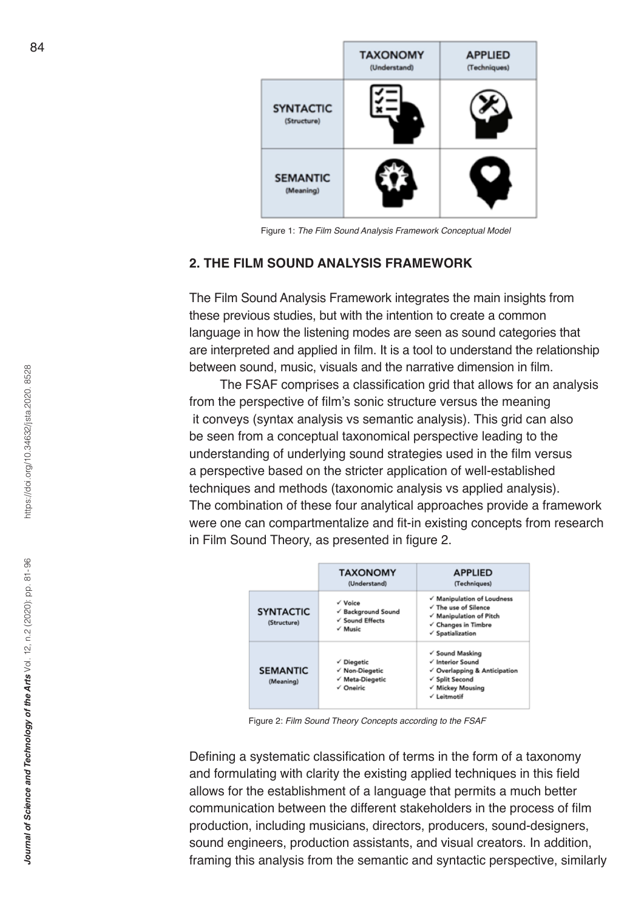

Figure 1: *The Film Sound Analysis Framework Conceptual Model*

#### **2. THE FILM SOUND ANALYSIS FRAMEWORK**

The Film Sound Analysis Framework integrates the main insights from these previous studies, but with the intention to create a common language in how the listening modes are seen as sound categories that are interpreted and applied in film. It is a tool to understand the relationship between sound, music, visuals and the narrative dimension in film.

The FSAF comprises a classification grid that allows for an analysis from the perspective of film's sonic structure versus the meaning it conveys (syntax analysis vs semantic analysis). This grid can also be seen from a conceptual taxonomical perspective leading to the understanding of underlying sound strategies used in the film versus a perspective based on the stricter application of well-established techniques and methods (taxonomic analysis vs applied analysis). The combination of these four analytical approaches provide a framework were one can compartmentalize and fit-in existing concepts from research in Film Sound Theory, as presented in figure 2.



Figure 2: *Film Sound Theory Concepts according to the FSAF*

Defining a systematic classification of terms in the form of a taxonomy and formulating with clarity the existing applied techniques in this field allows for the establishment of a language that permits a much better communication between the different stakeholders in the process of film production, including musicians, directors, producers, sound-designers, sound engineers, production assistants, and visual creators. In addition, framing this analysis from the semantic and syntactic perspective, similarly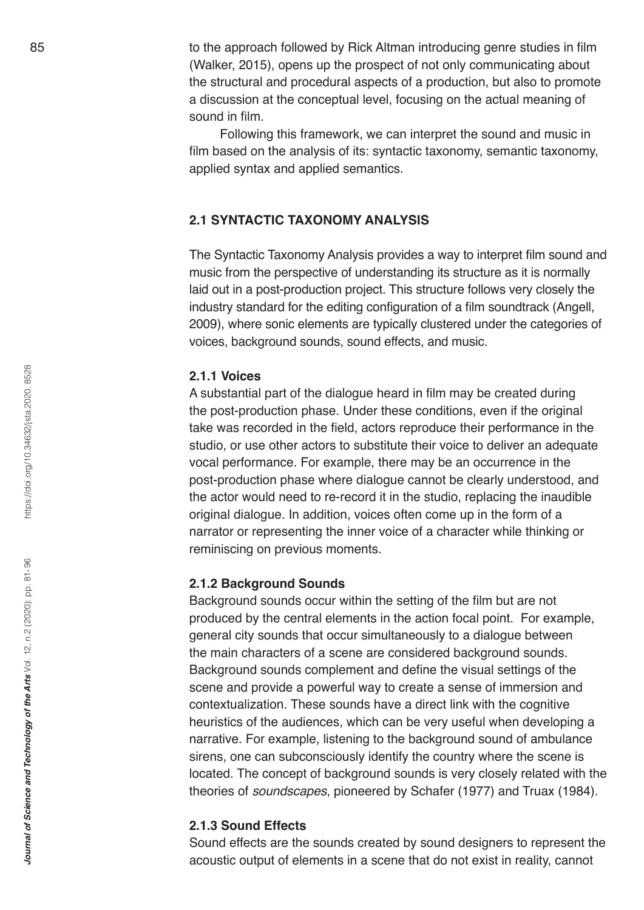to the approach followed by Rick Altman introducing genre studies in film (Walker, 2015), opens up the prospect of not only communicating about the structural and procedural aspects of a production, but also to promote a discussion at the conceptual level, focusing on the actual meaning of sound in film.

Following this framework, we can interpret the sound and music in film based on the analysis of its: syntactic taxonomy, semantic taxonomy, applied syntax and applied semantics.

# **2.1 SYNTACTIC TAXONOMY ANALYSIS**

The Syntactic Taxonomy Analysis provides a way to interpret film sound and music from the perspective of understanding its structure as it is normally laid out in a post-production project. This structure follows very closely the industry standard for the editing configuration of a film soundtrack (Angell, 2009), where sonic elements are typically clustered under the categories of voices, background sounds, sound effects, and music.

## **2.1.1 Voices**

A substantial part of the dialogue heard in film may be created during the post-production phase. Under these conditions, even if the original take was recorded in the field, actors reproduce their performance in the studio, or use other actors to substitute their voice to deliver an adequate vocal performance. For example, there may be an occurrence in the post-production phase where dialogue cannot be clearly understood, and the actor would need to re-record it in the studio, replacing the inaudible original dialogue. In addition, voices often come up in the form of a narrator or representing the inner voice of a character while thinking or reminiscing on previous moments.

#### **2.1.2 Background Sounds**

Background sounds occur within the setting of the film but are not produced by the central elements in the action focal point. For example, general city sounds that occur simultaneously to a dialogue between the main characters of a scene are considered background sounds. Background sounds complement and define the visual settings of the scene and provide a powerful way to create a sense of immersion and contextualization. These sounds have a direct link with the cognitive heuristics of the audiences, which can be very useful when developing a narrative. For example, listening to the background sound of ambulance sirens, one can subconsciously identify the country where the scene is located. The concept of background sounds is very closely related with the theories of *soundscapes*, pioneered by Schafer (1977) and Truax (1984).

#### **2.1.3 Sound Effects**

Sound effects are the sounds created by sound designers to represent the acoustic output of elements in a scene that do not exist in reality, cannot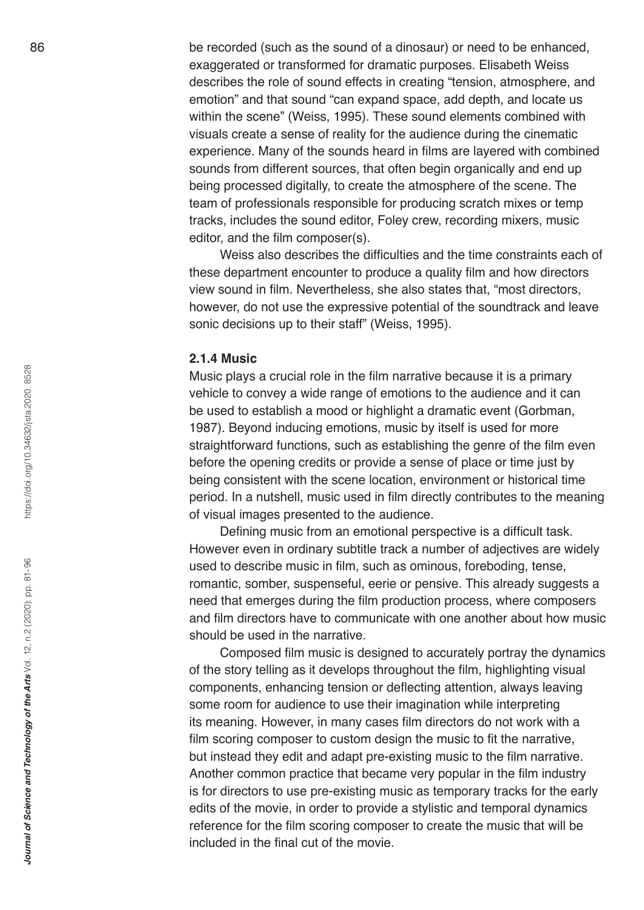be recorded (such as the sound of a dinosaur) or need to be enhanced, exaggerated or transformed for dramatic purposes. Elisabeth Weiss describes the role of sound effects in creating "tension, atmosphere, and emotion" and that sound "can expand space, add depth, and locate us within the scene" (Weiss, 1995). These sound elements combined with visuals create a sense of reality for the audience during the cinematic experience. Many of the sounds heard in films are layered with combined sounds from different sources, that often begin organically and end up being processed digitally, to create the atmosphere of the scene. The team of professionals responsible for producing scratch mixes or temp tracks, includes the sound editor, Foley crew, recording mixers, music editor, and the film composer(s).

Weiss also describes the difficulties and the time constraints each of these department encounter to produce a quality film and how directors view sound in film. Nevertheless, she also states that, "most directors, however, do not use the expressive potential of the soundtrack and leave sonic decisions up to their staff" (Weiss, 1995).

#### **2.1.4 Music**

Music plays a crucial role in the film narrative because it is a primary vehicle to convey a wide range of emotions to the audience and it can be used to establish a mood or highlight a dramatic event (Gorbman, 1987). Beyond inducing emotions, music by itself is used for more straightforward functions, such as establishing the genre of the film even before the opening credits or provide a sense of place or time just by being consistent with the scene location, environment or historical time period. In a nutshell, music used in film directly contributes to the meaning of visual images presented to the audience.

Defining music from an emotional perspective is a difficult task. However even in ordinary subtitle track a number of adjectives are widely used to describe music in film, such as ominous, foreboding, tense, romantic, somber, suspenseful, eerie or pensive. This already suggests a need that emerges during the film production process, where composers and film directors have to communicate with one another about how music should be used in the narrative.

Composed film music is designed to accurately portray the dynamics of the story telling as it develops throughout the film, highlighting visual components, enhancing tension or deflecting attention, always leaving some room for audience to use their imagination while interpreting its meaning. However, in many cases film directors do not work with a film scoring composer to custom design the music to fit the narrative, but instead they edit and adapt pre-existing music to the film narrative. Another common practice that became very popular in the film industry is for directors to use pre-existing music as temporary tracks for the early edits of the movie, in order to provide a stylistic and temporal dynamics reference for the film scoring composer to create the music that will be included in the final cut of the movie.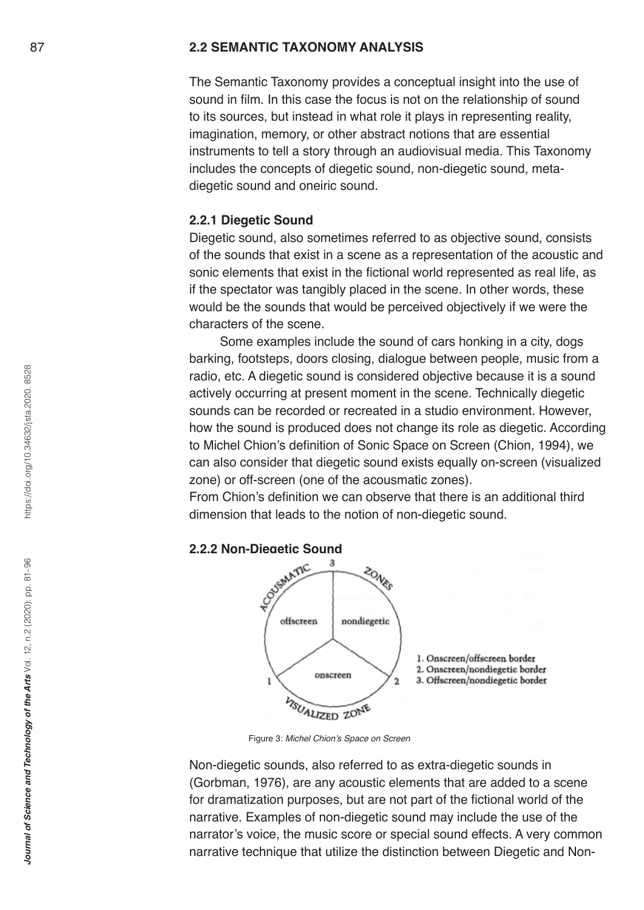### **2.2 SEMANTIC TAXONOMY ANALYSIS**

The Semantic Taxonomy provides a conceptual insight into the use of sound in film. In this case the focus is not on the relationship of sound to its sources, but instead in what role it plays in representing reality, imagination, memory, or other abstract notions that are essential instruments to tell a story through an audiovisual media. This Taxonomy includes the concepts of diegetic sound, non-diegetic sound, metadiegetic sound and oneiric sound.

#### **2.2.1 Diegetic Sound**

Diegetic sound, also sometimes referred to as objective sound, consists of the sounds that exist in a scene as a representation of the acoustic and sonic elements that exist in the fictional world represented as real life, as if the spectator was tangibly placed in the scene. In other words, these would be the sounds that would be perceived objectively if we were the characters of the scene.

Some examples include the sound of cars honking in a city, dogs barking, footsteps, doors closing, dialogue between people, music from a radio, etc. A diegetic sound is considered objective because it is a sound actively occurring at present moment in the scene. Technically diegetic sounds can be recorded or recreated in a studio environment. However, how the sound is produced does not change its role as diegetic. According to Michel Chion's definition of Sonic Space on Screen (Chion, 1994), we can also consider that diegetic sound exists equally on-screen (visualized zone) or off-screen (one of the acousmatic zones).

From Chion's definition we can observe that there is an additional third dimension that leads to the notion of non-diegetic sound.



Figure 3: Michel Chion's Space on Screen

Non-diegetic sounds, also referred to as extra-diegetic sounds in (Gorbman, 1976), are any acoustic elements that are added to a scene for dramatization purposes, but are not part of the fictional world of the narrative. Examples of non-diegetic sound may include the use of the narrator's voice, the music score or special sound effects. A very common narrative technique that utilize the distinction between Diegetic and Non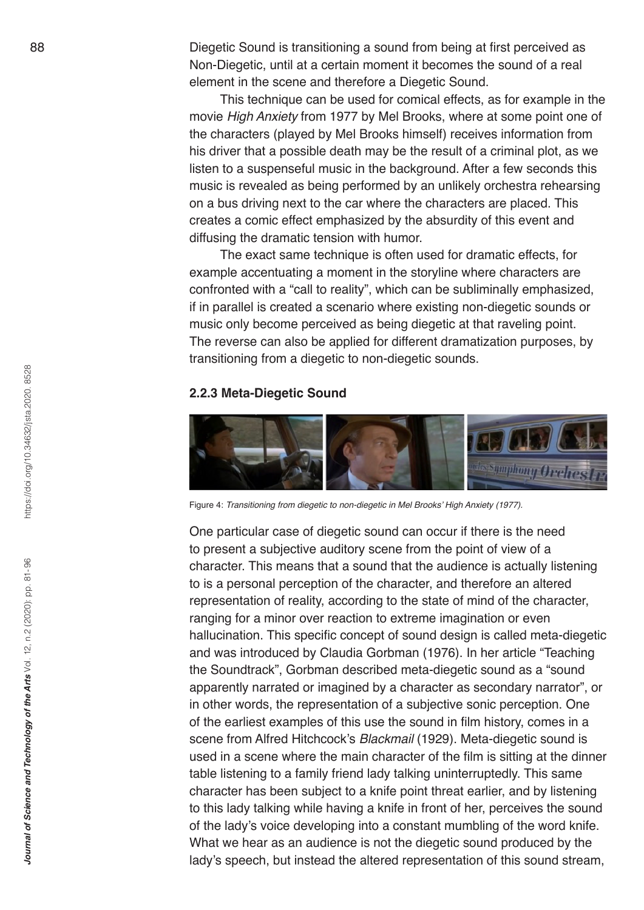Diegetic Sound is transitioning a sound from being at first perceived as Non-Diegetic, until at a certain moment it becomes the sound of a real element in the scene and therefore a Diegetic Sound.

This technique can be used for comical effects, as for example in the movie *High Anxiety* from 1977 by Mel Brooks, where at some point one of the characters (played by Mel Brooks himself) receives information from his driver that a possible death may be the result of a criminal plot, as we listen to a suspenseful music in the background. After a few seconds this music is revealed as being performed by an unlikely orchestra rehearsing on a bus driving next to the car where the characters are placed. This creates a comic effect emphasized by the absurdity of this event and diffusing the dramatic tension with humor.

The exact same technique is often used for dramatic effects, for example accentuating a moment in the storyline where characters are confronted with a "call to reality", which can be subliminally emphasized, if in parallel is created a scenario where existing non-diegetic sounds or music only become perceived as being diegetic at that raveling point. The reverse can also be applied for different dramatization purposes, by transitioning from a diegetic to non-diegetic sounds.

#### **2.2.3 Meta-Diegetic Sound**



Figure 4: Transitioning from diegetic to non-diegetic in Mel Brooks' High Anxiety (1977).

One particular case of diegetic sound can occur if there is the need to present a subjective auditory scene from the point of view of a character. This means that a sound that the audience is actually listening to is a personal perception of the character, and therefore an altered representation of reality, according to the state of mind of the character, ranging for a minor over reaction to extreme imagination or even hallucination. This specific concept of sound design is called meta-diegetic and was introduced by Claudia Gorbman (1976). In her article "Teaching the Soundtrack", Gorbman described meta-diegetic sound as a "sound apparently narrated or imagined by a character as secondary narrator", or in other words, the representation of a subjective sonic perception. One of the earliest examples of this use the sound in film history, comes in a scene from Alfred Hitchcock's *Blackmail* (1929). Meta-diegetic sound is used in a scene where the main character of the film is sitting at the dinner table listening to a family friend lady talking uninterruptedly. This same character has been subject to a knife point threat earlier, and by listening to this lady talking while having a knife in front of her, perceives the sound of the lady's voice developing into a constant mumbling of the word knife. What we hear as an audience is not the diegetic sound produced by the lady's speech, but instead the altered representation of this sound stream,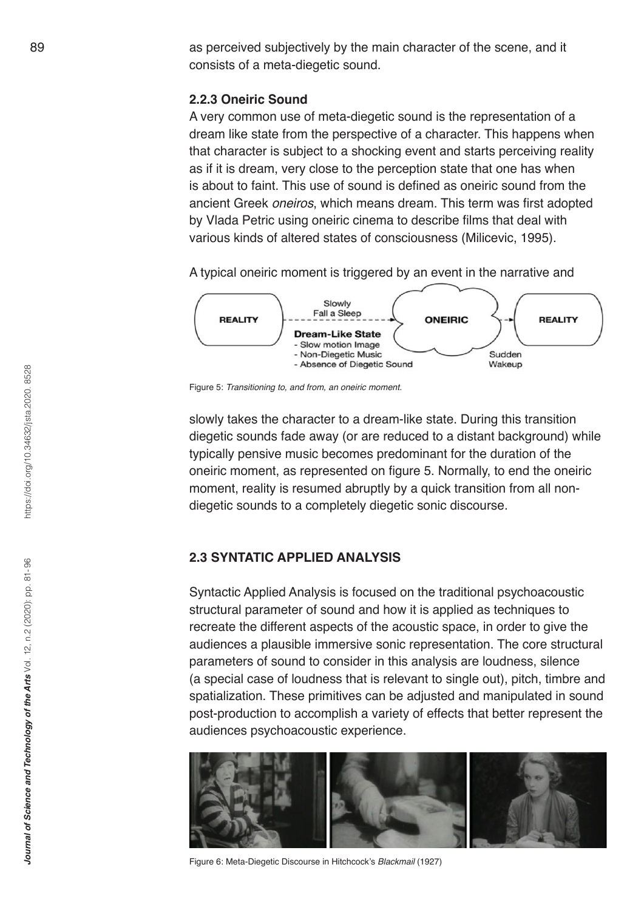as perceived subjectively by the main character of the scene, and it consists of a meta-diegetic sound.

### **2.2.3 Oneiric Sound**

A very common use of meta-diegetic sound is the representation of a dream like state from the perspective of a character. This happens when that character is subject to a shocking event and starts perceiving reality as if it is dream, very close to the perception state that one has when is about to faint. This use of sound is defined as oneiric sound from the ancient Greek *oneiros*, which means dream. This term was first adopted by Vlada Petric using oneiric cinema to describe films that deal with various kinds of altered states of consciousness (Milicevic, 1995).

A typical oneiric moment is triggered by an event in the narrative and



Figure 5: Transitioning to, and from, an oneiric moment.

slowly takes the character to a dream-like state. During this transition diegetic sounds fade away (or are reduced to a distant background) while typically pensive music becomes predominant for the duration of the oneiric moment, as represented on figure 5. Normally, to end the oneiric moment, reality is resumed abruptly by a quick transition from all nondiegetic sounds to a completely diegetic sonic discourse.

# **2.3 SYNTATIC APPLIED ANALYSIS**

Syntactic Applied Analysis is focused on the traditional psychoacoustic structural parameter of sound and how it is applied as techniques to recreate the different aspects of the acoustic space, in order to give the audiences a plausible immersive sonic representation. The core structural parameters of sound to consider in this analysis are loudness, silence (a special case of loudness that is relevant to single out), pitch, timbre and spatialization. These primitives can be adjusted and manipulated in sound post-production to accomplish a variety of effects that better represent the audiences psychoacoustic experience.



Figure 6: Meta-Diegetic Discourse in Hitchcock's *Blackmail* (1927)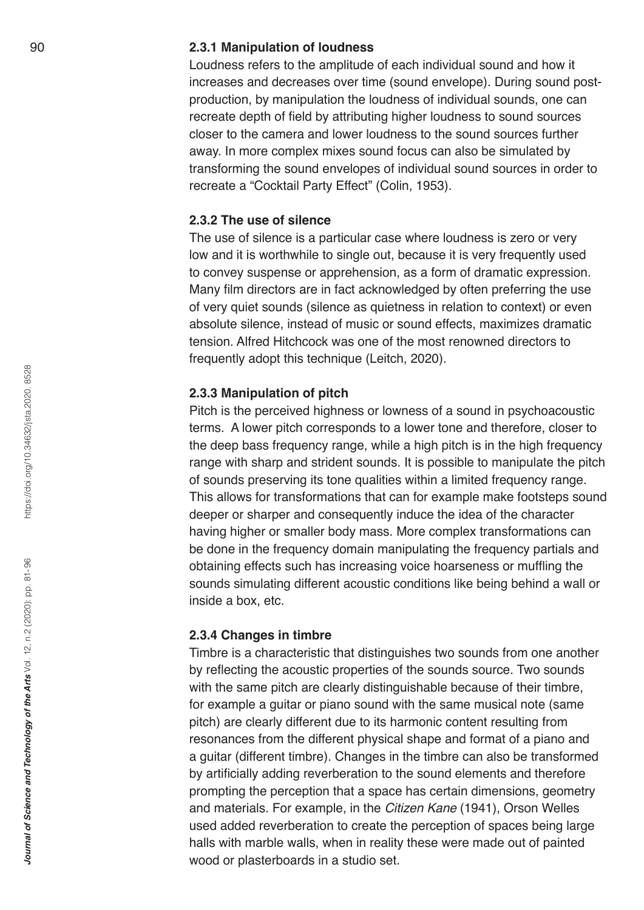#### **2.3.1 Manipulation of loudness**

Loudness refers to the amplitude of each individual sound and how it increases and decreases over time (sound envelope). During sound postproduction, by manipulation the loudness of individual sounds, one can recreate depth of field by attributing higher loudness to sound sources closer to the camera and lower loudness to the sound sources further away. In more complex mixes sound focus can also be simulated by transforming the sound envelopes of individual sound sources in order to recreate a "Cocktail Party Effect" (Colin, 1953).

### **2.3.2 The use of silence**

The use of silence is a particular case where loudness is zero or very low and it is worthwhile to single out, because it is very frequently used to convey suspense or apprehension, as a form of dramatic expression. Many film directors are in fact acknowledged by often preferring the use of very quiet sounds (silence as quietness in relation to context) or even absolute silence, instead of music or sound effects, maximizes dramatic tension. Alfred Hitchcock was one of the most renowned directors to frequently adopt this technique (Leitch, 2020).

#### **2.3.3 Manipulation of pitch**

Pitch is the perceived highness or lowness of a sound in psychoacoustic terms. A lower pitch corresponds to a lower tone and therefore, closer to the deep bass frequency range, while a high pitch is in the high frequency range with sharp and strident sounds. It is possible to manipulate the pitch of sounds preserving its tone qualities within a limited frequency range. This allows for transformations that can for example make footsteps sound deeper or sharper and consequently induce the idea of the character having higher or smaller body mass. More complex transformations can be done in the frequency domain manipulating the frequency partials and obtaining effects such has increasing voice hoarseness or muffling the sounds simulating different acoustic conditions like being behind a wall or inside a box, etc.

#### **2.3.4 Changes in timbre**

Timbre is a characteristic that distinguishes two sounds from one another by reflecting the acoustic properties of the sounds source. Two sounds with the same pitch are clearly distinguishable because of their timbre, for example a guitar or piano sound with the same musical note (same pitch) are clearly different due to its harmonic content resulting from resonances from the different physical shape and format of a piano and a guitar (different timbre). Changes in the timbre can also be transformed by artificially adding reverberation to the sound elements and therefore prompting the perception that a space has certain dimensions, geometry and materials. For example, in the *Citizen Kane* (1941), Orson Welles used added reverberation to create the perception of spaces being large halls with marble walls, when in reality these were made out of painted wood or plasterboards in a studio set.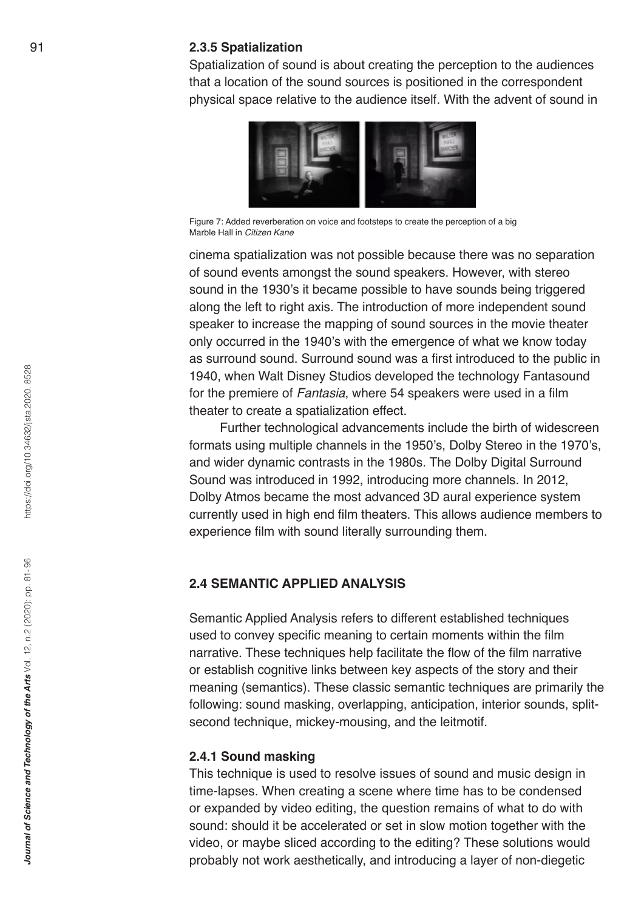#### **2.3.5 Spatialization**

Spatialization of sound is about creating the perception to the audiences that a location of the sound sources is positioned in the correspondent physical space relative to the audience itself. With the advent of sound in



Figure 7: Added reverberation on voice and footsteps to create the perception of a big Marble Hall in *Citizen Kane*

cinema spatialization was not possible because there was no separation of sound events amongst the sound speakers. However, with stereo sound in the 1930's it became possible to have sounds being triggered along the left to right axis. The introduction of more independent sound speaker to increase the mapping of sound sources in the movie theater only occurred in the 1940's with the emergence of what we know today as surround sound. Surround sound was a first introduced to the public in 1940, when Walt Disney Studios developed the technology Fantasound for the premiere of *Fantasia*, where 54 speakers were used in a film theater to create a spatialization effect.

Further technological advancements include the birth of widescreen formats using multiple channels in the 1950's, Dolby Stereo in the 1970's, and wider dynamic contrasts in the 1980s. The Dolby Digital Surround Sound was introduced in 1992, introducing more channels. In 2012, Dolby Atmos became the most advanced 3D aural experience system currently used in high end film theaters. This allows audience members to experience film with sound literally surrounding them.

#### **2.4 SEMANTIC APPLIED ANALYSIS**

Semantic Applied Analysis refers to different established techniques used to convey specific meaning to certain moments within the film narrative. These techniques help facilitate the flow of the film narrative or establish cognitive links between key aspects of the story and their meaning (semantics). These classic semantic techniques are primarily the following: sound masking, overlapping, anticipation, interior sounds, splitsecond technique, mickey-mousing, and the leitmotif.

#### **2.4.1 Sound masking**

This technique is used to resolve issues of sound and music design in time-lapses. When creating a scene where time has to be condensed or expanded by video editing, the question remains of what to do with sound: should it be accelerated or set in slow motion together with the video, or maybe sliced according to the editing? These solutions would probably not work aesthetically, and introducing a layer of non-diegetic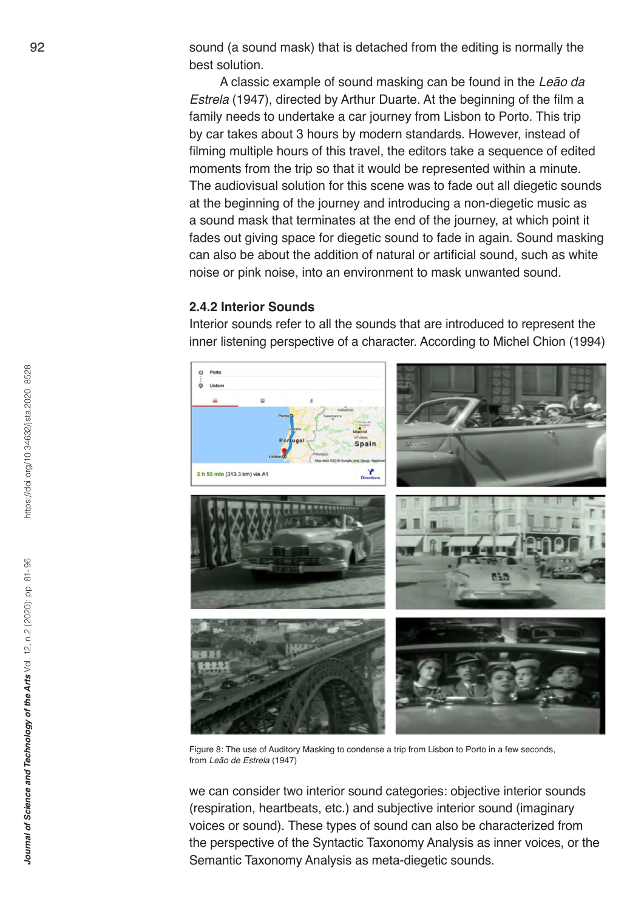sound (a sound mask) that is detached from the editing is normally the best solution.

A classic example of sound masking can be found in the *Leão da Estrela* (1947), directed by Arthur Duarte. At the beginning of the film a family needs to undertake a car journey from Lisbon to Porto. This trip by car takes about 3 hours by modern standards. However, instead of filming multiple hours of this travel, the editors take a sequence of edited moments from the trip so that it would be represented within a minute. The audiovisual solution for this scene was to fade out all diegetic sounds at the beginning of the journey and introducing a non-diegetic music as a sound mask that terminates at the end of the journey, at which point it fades out giving space for diegetic sound to fade in again. Sound masking can also be about the addition of natural or artificial sound, such as white noise or pink noise, into an environment to mask unwanted sound .

#### **2.4.2 Interior Sounds**

Interior sounds refer to all the sounds that are introduced to represent the inner listening perspective of a character. According to Michel Chion (1994)



Figure 8: The use of Auditory Masking to condense a trip from Lisbon to Porto in a few seconds, from *Leão de Estrela* (1947)

we can consider two interior sound categories: objective interior sounds (respiration, heartbeats, etc.) and subjective interior sound (imaginary voices or sound). These types of sound can also be characterized from the perspective of the Syntactic Taxonomy Analysis as inner voices, or the Semantic Taxonomy Analysis as meta-diegetic sounds.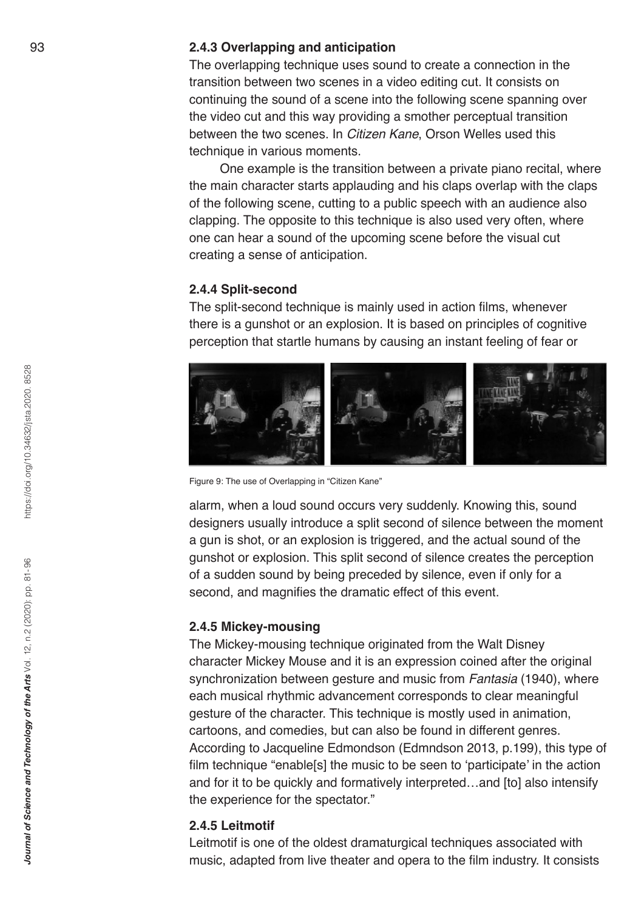#### **2.4.3 Overlapping and anticipation**

The overlapping technique uses sound to create a connection in the transition between two scenes in a video editing cut. It consists on continuing the sound of a scene into the following scene spanning over the video cut and this way providing a smother perceptual transition between the two scenes. In *Citizen Kane*, Orson Welles used this technique in various moments.

One example is the transition between a private piano recital, where the main character starts applauding and his claps overlap with the claps of the following scene, cutting to a public speech with an audience also clapping. The opposite to this technique is also used very often, where one can hear a sound of the upcoming scene before the visual cut creating a sense of anticipation.

#### **2.4.4 Split-second**

The split-second technique is mainly used in action films, whenever there is a gunshot or an explosion. It is based on principles of cognitive perception that startle humans by causing an instant feeling of fear or



Figure 9: The use of Overlapping in "Citizen Kane"

alarm, when a loud sound occurs very suddenly. Knowing this, sound designers usually introduce a split second of silence between the moment a gun is shot, or an explosion is triggered, and the actual sound of the gunshot or explosion. This split second of silence creates the perception of a sudden sound by being preceded by silence, even if only for a second, and magnifies the dramatic effect of this event.

#### **2.4.5 Mickey-mousing**

The Mickey-mousing technique originated from the Walt Disney character Mickey Mouse and it is an expression coined after the original synchronization between gesture and music from *Fantasia* (1940), where each musical rhythmic advancement corresponds to clear meaningful gesture of the character. This technique is mostly used in animation, cartoons, and comedies, but can also be found in different genres. According to Jacqueline Edmondson (Edmndson 2013, p.199), this type of film technique "enable[s] the music to be seen to 'participate' in the action and for it to be quickly and formatively interpreted…and [to] also intensify the experience for the spectator."

#### **2.4.5 Leitmotif**

Leitmotif is one of the oldest dramaturgical techniques associated with music, adapted from live theater and opera to the film industry. It consists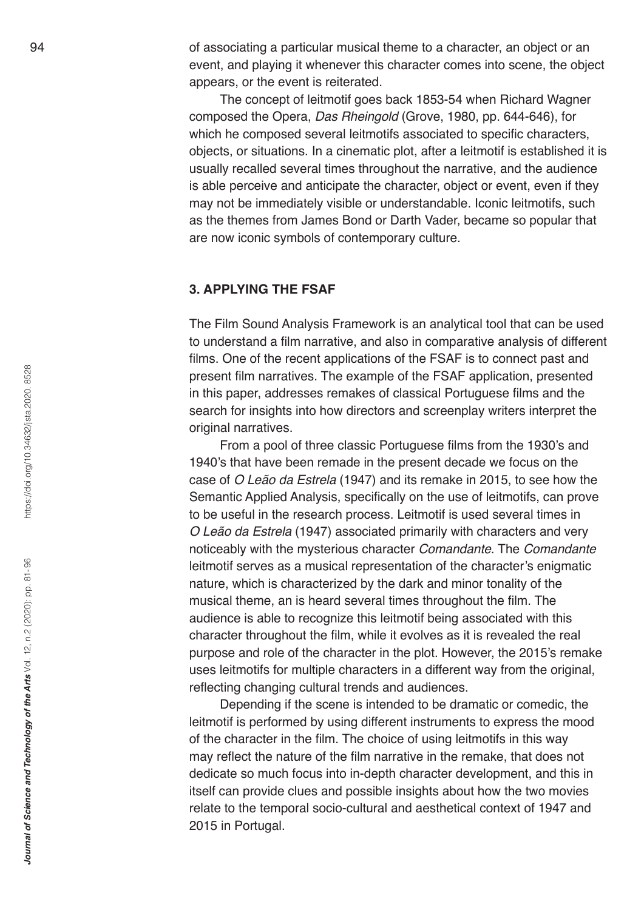of associating a particular musical theme to a character, an object or an event, and playing it whenever this character comes into scene, the object appears, or the event is reiterated.

The concept of leitmotif goes back 1853-54 when Richard Wagner composed the Opera, *Das Rheingold* (Grove, 1980, pp. 644-646), for which he composed several leitmotifs associated to specific characters, objects, or situations. In a cinematic plot, after a leitmotif is established it is usually recalled several times throughout the narrative, and the audience is able perceive and anticipate the character, object or event, even if they may not be immediately visible or understandable. Iconic leitmotifs, such as the themes from James Bond or Darth Vader, became so popular that are now iconic symbols of contemporary culture.

#### **3. APPLYING THE FSAF**

The Film Sound Analysis Framework is an analytical tool that can be used to understand a film narrative, and also in comparative analysis of different films. One of the recent applications of the FSAF is to connect past and present film narratives. The example of the FSAF application, presented in this paper, addresses remakes of classical Portuguese films and the search for insights into how directors and screenplay writers interpret the original narratives.

From a pool of three classic Portuguese films from the 1930's and 1940's that have been remade in the present decade we focus on the case of *O Leão da Estrela* (1947) and its remake in 2015, to see how the Semantic Applied Analysis, specifically on the use of leitmotifs, can prove to be useful in the research process. Leitmotif is used several times in *O Leão da Estrela* (1947) associated primarily with characters and very noticeably with the mysterious character *Comandante*. The *Comandante*  leitmotif serves as a musical representation of the character's enigmatic nature, which is characterized by the dark and minor tonality of the musical theme, an is heard several times throughout the film. The audience is able to recognize this leitmotif being associated with this character throughout the film, while it evolves as it is revealed the real purpose and role of the character in the plot. However, the 2015's remake uses leitmotifs for multiple characters in a different way from the original, reflecting changing cultural trends and audiences.

Depending if the scene is intended to be dramatic or comedic, the leitmotif is performed by using different instruments to express the mood of the character in the film. The choice of using leitmotifs in this way may reflect the nature of the film narrative in the remake, that does not dedicate so much focus into in-depth character development, and this in itself can provide clues and possible insights about how the two movies relate to the temporal socio-cultural and aesthetical context of 1947 and 2015 in Portugal.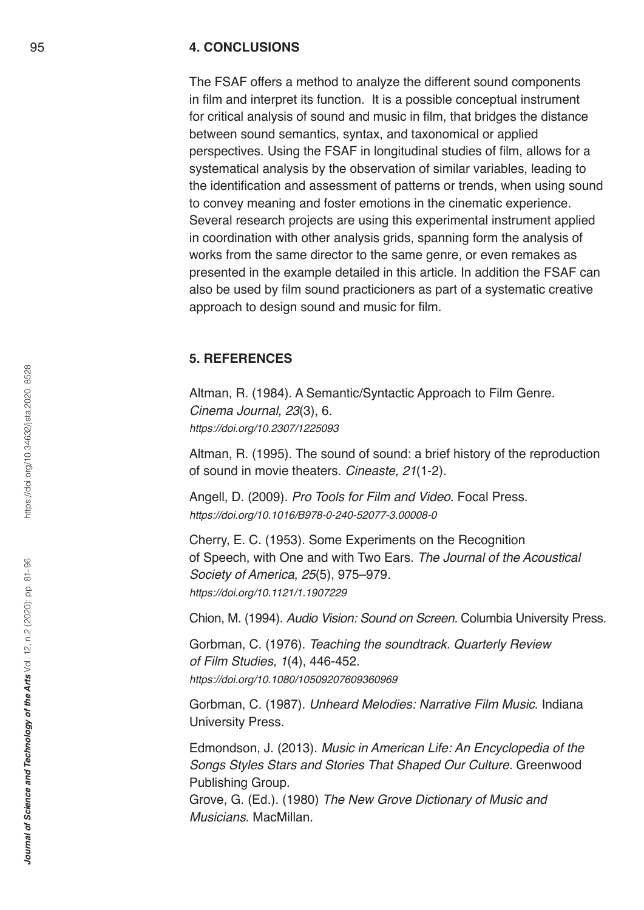#### **4. CONCLUSIONS**

The FSAF offers a method to analyze the different sound components in film and interpret its function. It is a possible conceptual instrument for critical analysis of sound and music in film, that bridges the distance between sound semantics, syntax, and taxonomical or applied perspectives. Using the FSAF in longitudinal studies of film, allows for a systematical analysis by the observation of similar variables, leading to the identification and assessment of patterns or trends, when using sound to convey meaning and foster emotions in the cinematic experience. Several research projects are using this experimental instrument applied in coordination with other analysis grids, spanning form the analysis of works from the same director to the same genre, or even remakes as presented in the example detailed in this article. In addition the FSAF can also be used by film sound practicioners as part of a systematic creative approach to design sound and music for film.

### **5. REFERENCES**

Altman, R. (1984). A Semantic/Syntactic Approach to Film Genre. *Cinema Journal, 23*(3), 6. https://doi.org/10.2307/1225093

Altman, R. (1995). The sound of sound: a brief history of the reproduction of sound in movie theaters. Cineaste, 21(1-2).

Angell, D. (2009). *Pro Tools for Film and Video*. Focal Press. https://doi.org/10.1016/B978-0-240-52077-3.00008-0

Cherry, E. C. (1953). Some Experiments on the Recognition of Speech, with One and with Two Ears. *The Journal of the Acoustical Society of America*, 25(5), 975–979. https://doi.org/10.1121/1.1907229

Chion, M. (1994). Audio Vision: Sound on Screen. Columbia University Press.

Gorbman, C. (1976). Teaching the soundtrack. Quarterly Review of Film Studies, 1(4), 446-452. https://doi.org/10.1080/10509207609360969

Gorbman, C. (1987). *Unheard Melodies: Narrative Film Music*. Indiana University Press.

Edmondson, J. (2013). *Music in American Life: An Encyclopedia of the*  Songs Styles Stars and Stories That Shaped Our Culture. Greenwood Publishing Group.

Grove, G. (Ed.). (1980) *The New Grove Dictionary of Music and Musicians*. MacMillan.